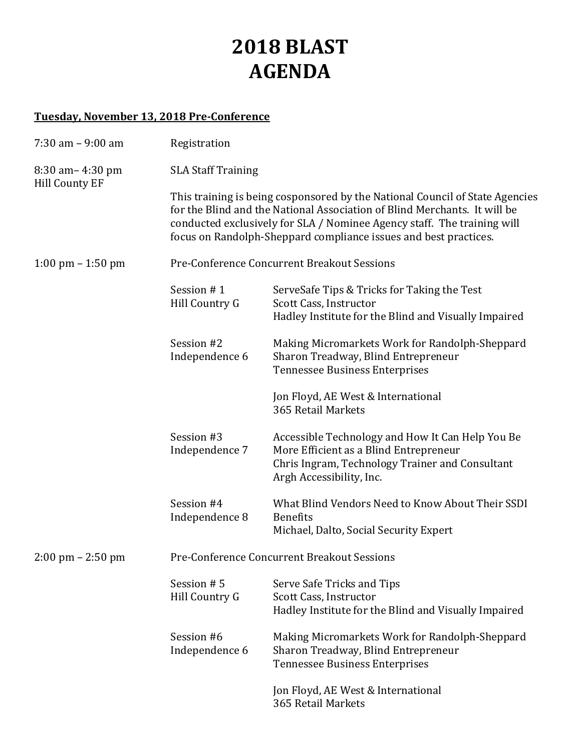# **2018 BLAST AGENDA**

# **Tuesday, November 13, 2018 Pre-Conference**

| $7:30$ am $-9:00$ am                          | Registration                                |                                                                                                                                                                                                                                                                                                          |  |
|-----------------------------------------------|---------------------------------------------|----------------------------------------------------------------------------------------------------------------------------------------------------------------------------------------------------------------------------------------------------------------------------------------------------------|--|
| $8:30$ am $-4:30$ pm<br><b>Hill County EF</b> | <b>SLA Staff Training</b>                   |                                                                                                                                                                                                                                                                                                          |  |
|                                               |                                             | This training is being cosponsored by the National Council of State Agencies<br>for the Blind and the National Association of Blind Merchants. It will be<br>conducted exclusively for SLA / Nominee Agency staff. The training will<br>focus on Randolph-Sheppard compliance issues and best practices. |  |
| $1:00 \text{ pm} - 1:50 \text{ pm}$           | Pre-Conference Concurrent Breakout Sessions |                                                                                                                                                                                                                                                                                                          |  |
|                                               | Session #1<br>Hill Country G                | ServeSafe Tips & Tricks for Taking the Test<br>Scott Cass, Instructor<br>Hadley Institute for the Blind and Visually Impaired                                                                                                                                                                            |  |
|                                               | Session #2<br>Independence 6                | Making Micromarkets Work for Randolph-Sheppard<br>Sharon Treadway, Blind Entrepreneur<br><b>Tennessee Business Enterprises</b>                                                                                                                                                                           |  |
|                                               |                                             | Jon Floyd, AE West & International<br>365 Retail Markets                                                                                                                                                                                                                                                 |  |
|                                               | Session #3<br>Independence 7                | Accessible Technology and How It Can Help You Be<br>More Efficient as a Blind Entrepreneur<br>Chris Ingram, Technology Trainer and Consultant<br>Argh Accessibility, Inc.                                                                                                                                |  |
|                                               | Session #4<br>Independence 8                | What Blind Vendors Need to Know About Their SSDI<br><b>Benefits</b><br>Michael, Dalto, Social Security Expert                                                                                                                                                                                            |  |
| 2:00 pm - 2:50 pm                             | Pre-Conference Concurrent Breakout Sessions |                                                                                                                                                                                                                                                                                                          |  |
|                                               | Session #5<br>Hill Country G                | Serve Safe Tricks and Tips<br>Scott Cass, Instructor<br>Hadley Institute for the Blind and Visually Impaired                                                                                                                                                                                             |  |
|                                               | Session #6<br>Independence 6                | Making Micromarkets Work for Randolph-Sheppard<br>Sharon Treadway, Blind Entrepreneur<br><b>Tennessee Business Enterprises</b>                                                                                                                                                                           |  |
|                                               |                                             | Jon Floyd, AE West & International<br>365 Retail Markets                                                                                                                                                                                                                                                 |  |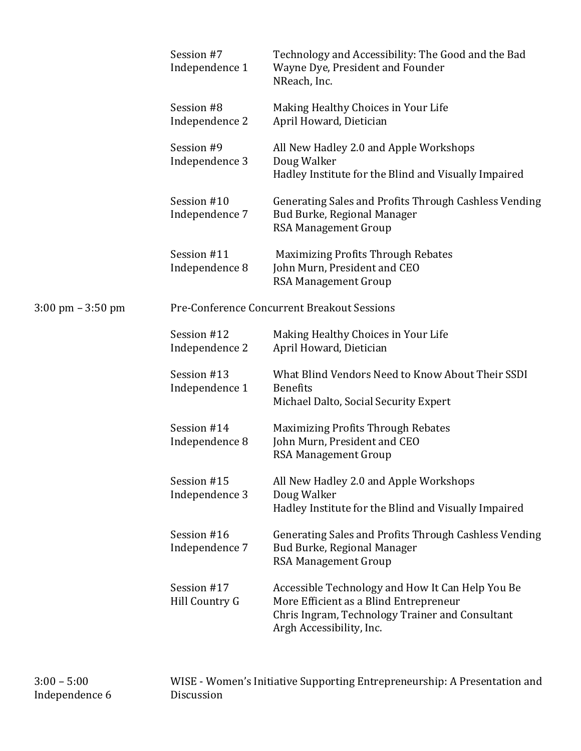|                                     | Session #7<br>Independence 1  | Technology and Accessibility: The Good and the Bad<br>Wayne Dye, President and Founder<br>NReach, Inc.                                                                    |
|-------------------------------------|-------------------------------|---------------------------------------------------------------------------------------------------------------------------------------------------------------------------|
|                                     | Session #8<br>Independence 2  | Making Healthy Choices in Your Life<br>April Howard, Dietician                                                                                                            |
|                                     | Session #9<br>Independence 3  | All New Hadley 2.0 and Apple Workshops<br>Doug Walker<br>Hadley Institute for the Blind and Visually Impaired                                                             |
|                                     | Session #10<br>Independence 7 | Generating Sales and Profits Through Cashless Vending<br>Bud Burke, Regional Manager<br><b>RSA Management Group</b>                                                       |
|                                     | Session #11<br>Independence 8 | <b>Maximizing Profits Through Rebates</b><br>John Murn, President and CEO<br><b>RSA Management Group</b>                                                                  |
| $3:00 \text{ pm} - 3:50 \text{ pm}$ |                               | Pre-Conference Concurrent Breakout Sessions                                                                                                                               |
|                                     | Session #12<br>Independence 2 | Making Healthy Choices in Your Life<br>April Howard, Dietician                                                                                                            |
|                                     | Session #13<br>Independence 1 | What Blind Vendors Need to Know About Their SSDI<br><b>Benefits</b><br>Michael Dalto, Social Security Expert                                                              |
|                                     | Session #14<br>Independence 8 | Maximizing Profits Through Rebates<br>John Murn, President and CEO<br><b>RSA Management Group</b>                                                                         |
|                                     | Session #15<br>Independence 3 | All New Hadley 2.0 and Apple Workshops<br>Doug Walker<br>Hadley Institute for the Blind and Visually Impaired                                                             |
|                                     | Session #16<br>Independence 7 | Generating Sales and Profits Through Cashless Vending<br>Bud Burke, Regional Manager<br><b>RSA Management Group</b>                                                       |
|                                     | Session #17<br>Hill Country G | Accessible Technology and How It Can Help You Be<br>More Efficient as a Blind Entrepreneur<br>Chris Ingram, Technology Trainer and Consultant<br>Argh Accessibility, Inc. |

WISE - Women's Initiative Supporting Entrepreneurship: A Presentation and Discussion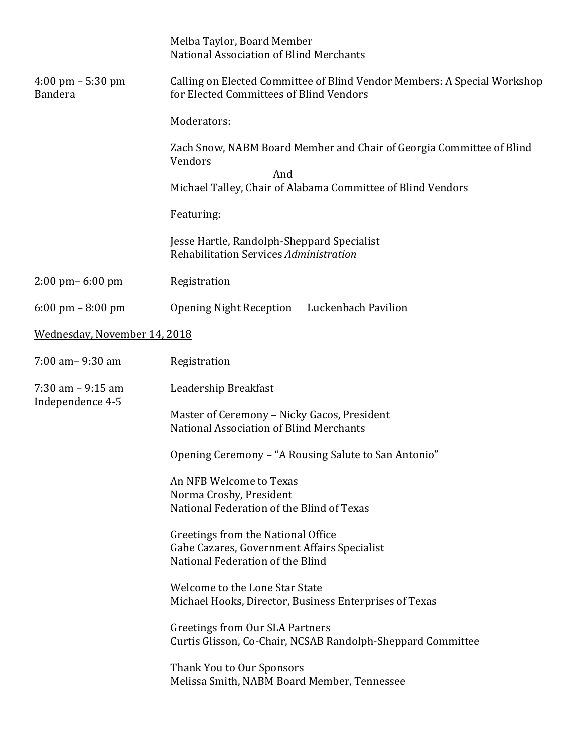|                                                       | Melba Taylor, Board Member<br>National Association of Blind Merchants                                                 |
|-------------------------------------------------------|-----------------------------------------------------------------------------------------------------------------------|
| $4:00 \text{ pm} - 5:30 \text{ pm}$<br><b>Bandera</b> | Calling on Elected Committee of Blind Vendor Members: A Special Workshop<br>for Elected Committees of Blind Vendors   |
|                                                       | Moderators:                                                                                                           |
|                                                       | Zach Snow, NABM Board Member and Chair of Georgia Committee of Blind<br>Vendors<br>And                                |
|                                                       | Michael Talley, Chair of Alabama Committee of Blind Vendors                                                           |
|                                                       | Featuring:                                                                                                            |
|                                                       | Jesse Hartle, Randolph-Sheppard Specialist<br>Rehabilitation Services Administration                                  |
| $2:00 \text{ pm} - 6:00 \text{ pm}$                   | Registration                                                                                                          |
| $6:00 \text{ pm} - 8:00 \text{ pm}$                   | Luckenbach Pavilion<br><b>Opening Night Reception</b>                                                                 |
| Wednesday, November 14, 2018                          |                                                                                                                       |
| $7:00$ am $-9:30$ am                                  | Registration                                                                                                          |
| $7:30$ am $-9:15$ am                                  | Leadership Breakfast                                                                                                  |
| Independence 4-5                                      | Master of Ceremony - Nicky Gacos, President<br>National Association of Blind Merchants                                |
|                                                       | Opening Ceremony - "A Rousing Salute to San Antonio"                                                                  |
|                                                       | An NFB Welcome to Texas<br>Norma Crosby, President<br>National Federation of the Blind of Texas                       |
|                                                       | Greetings from the National Office<br>Gabe Cazares, Government Affairs Specialist<br>National Federation of the Blind |
|                                                       | Welcome to the Lone Star State<br>Michael Hooks, Director, Business Enterprises of Texas                              |
|                                                       | <b>Greetings from Our SLA Partners</b><br>Curtis Glisson, Co-Chair, NCSAB Randolph-Sheppard Committee                 |
|                                                       | Thank You to Our Sponsors<br>Melissa Smith, NABM Board Member, Tennessee                                              |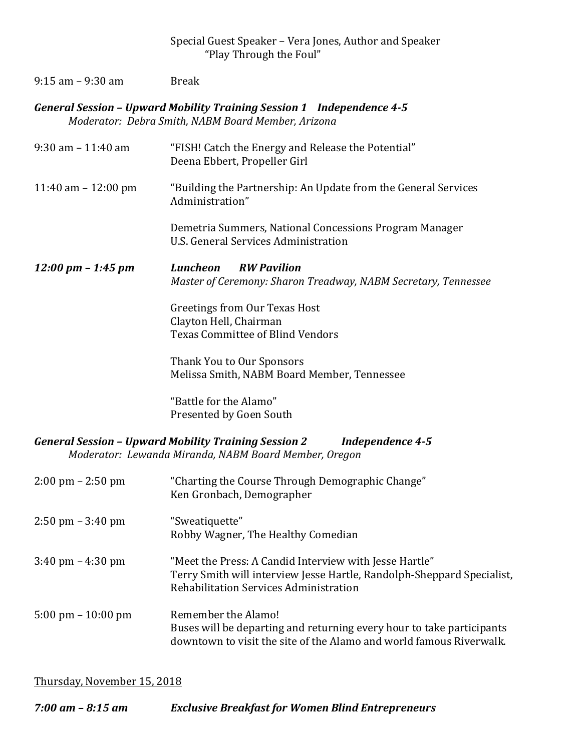## 9:15 am - 9:30 am Break

*General Session – Upward Mobility Training Session 1 Independence 4-5 Moderator: Debra Smith, NABM Board Member, Arizona* 

| $9:30$ am $-11:40$ am                | "FISH! Catch the Energy and Release the Potential"<br>Deena Ebbert, Propeller Girl                                                                                         |
|--------------------------------------|----------------------------------------------------------------------------------------------------------------------------------------------------------------------------|
| 11:40 am $-$ 12:00 pm                | "Building the Partnership: An Update from the General Services<br>Administration"                                                                                          |
|                                      | Demetria Summers, National Concessions Program Manager<br>U.S. General Services Administration                                                                             |
| $12:00 \text{ pm} - 1:45 \text{ pm}$ | <b>Luncheon</b><br><b>RW Pavilion</b><br>Master of Ceremony: Sharon Treadway, NABM Secretary, Tennessee                                                                    |
|                                      | <b>Greetings from Our Texas Host</b><br>Clayton Hell, Chairman<br><b>Texas Committee of Blind Vendors</b>                                                                  |
|                                      | Thank You to Our Sponsors<br>Melissa Smith, NABM Board Member, Tennessee                                                                                                   |
|                                      | "Battle for the Alamo"<br>Presented by Goen South                                                                                                                          |
|                                      | <b>General Session - Upward Mobility Training Session 2</b><br><b>Independence 4-5</b><br>Moderator: Lewanda Miranda, NABM Board Member, Oregon                            |
| $2:00 \text{ pm} - 2:50 \text{ pm}$  | "Charting the Course Through Demographic Change"<br>Ken Gronbach, Demographer                                                                                              |
| $2:50 \text{ pm} - 3:40 \text{ pm}$  | "Sweatiquette"<br>Robby Wagner, The Healthy Comedian                                                                                                                       |
| $3:40 \text{ pm} - 4:30 \text{ pm}$  | "Meet the Press: A Candid Interview with Jesse Hartle"<br>Terry Smith will interview Jesse Hartle, Randolph-Sheppard Specialist,<br>Rehabilitation Services Administration |
| $5:00 \text{ pm} - 10:00 \text{ pm}$ | Remember the Alamo!<br>Buses will be departing and returning every hour to take participants<br>downtown to visit the site of the Alamo and world famous Riverwalk.        |

Thursday, November 15, 2018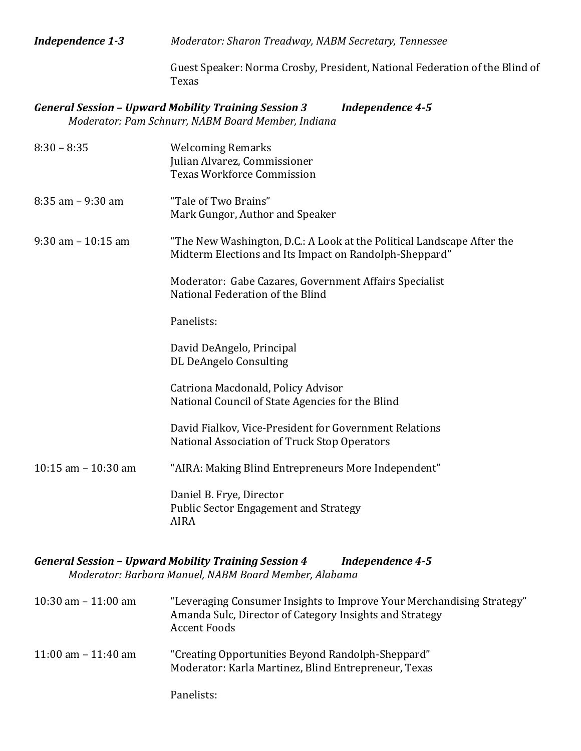*Independence 1-3 Moderator: Sharon Treadway, NABM Secretary, Tennessee*

Guest Speaker: Norma Crosby, President, National Federation of the Blind of Texas

### *General Session – Upward Mobility Training Session 3 Independence 4-5 Moderator: Pam Schnurr, NABM Board Member, Indiana*

| $8:30 - 8:35$         | <b>Welcoming Remarks</b><br>Julian Alvarez, Commissioner<br><b>Texas Workforce Commission</b>                                    |
|-----------------------|----------------------------------------------------------------------------------------------------------------------------------|
| $8:35$ am $-9:30$ am  | "Tale of Two Brains"<br>Mark Gungor, Author and Speaker                                                                          |
| $9:30$ am $-10:15$ am | "The New Washington, D.C.: A Look at the Political Landscape After the<br>Midterm Elections and Its Impact on Randolph-Sheppard" |
|                       | Moderator: Gabe Cazares, Government Affairs Specialist<br>National Federation of the Blind                                       |
|                       | Panelists:                                                                                                                       |
|                       | David DeAngelo, Principal<br>DL DeAngelo Consulting                                                                              |
|                       | Catriona Macdonald, Policy Advisor<br>National Council of State Agencies for the Blind                                           |
|                       | David Fialkov, Vice-President for Government Relations<br>National Association of Truck Stop Operators                           |
| 10:15 am $-$ 10:30 am | "AIRA: Making Blind Entrepreneurs More Independent"                                                                              |
|                       | Daniel B. Frye, Director<br><b>Public Sector Engagement and Strategy</b><br><b>AIRA</b>                                          |

#### *General Session – Upward Mobility Training Session 4 Independence 4-5 Moderator: Barbara Manuel, NABM Board Member, Alabama*

| 10:30 am $-$ 11:00 am | "Leveraging Consumer Insights to Improve Your Merchandising Strategy"<br>Amanda Sulc, Director of Category Insights and Strategy<br><b>Accent Foods</b> |
|-----------------------|---------------------------------------------------------------------------------------------------------------------------------------------------------|
| 11:00 am $-$ 11:40 am | "Creating Opportunities Beyond Randolph-Sheppard"<br>Moderator: Karla Martinez, Blind Entrepreneur, Texas                                               |
|                       | Panelists:                                                                                                                                              |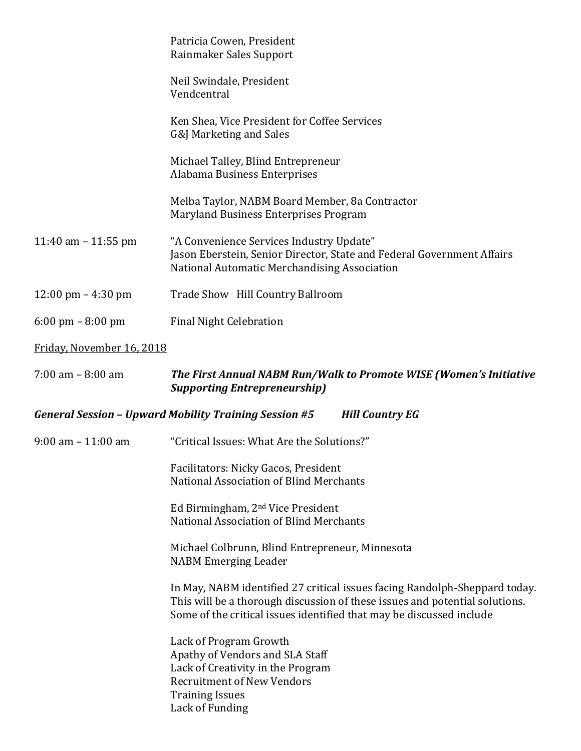|                                     | Patricia Cowen, President<br>Rainmaker Sales Support                                                                                                                                                                              |  |
|-------------------------------------|-----------------------------------------------------------------------------------------------------------------------------------------------------------------------------------------------------------------------------------|--|
|                                     | Neil Swindale, President<br>Vendcentral                                                                                                                                                                                           |  |
|                                     | Ken Shea, Vice President for Coffee Services<br>G&J Marketing and Sales                                                                                                                                                           |  |
|                                     | Michael Talley, Blind Entrepreneur<br>Alabama Business Enterprises                                                                                                                                                                |  |
|                                     | Melba Taylor, NABM Board Member, 8a Contractor<br>Maryland Business Enterprises Program                                                                                                                                           |  |
| 11:40 am $-$ 11:55 pm               | "A Convenience Services Industry Update"<br>Jason Eberstein, Senior Director, State and Federal Government Affairs<br>National Automatic Merchandising Association                                                                |  |
| 12:00 pm $-4:30$ pm                 | Trade Show Hill Country Ballroom                                                                                                                                                                                                  |  |
| $6:00 \text{ pm} - 8:00 \text{ pm}$ | <b>Final Night Celebration</b>                                                                                                                                                                                                    |  |
| Friday, November 16, 2018           |                                                                                                                                                                                                                                   |  |
| $7:00$ am $- 8:00$ am               | The First Annual NABM Run/Walk to Promote WISE (Women's Initiative<br><b>Supporting Entrepreneurship)</b>                                                                                                                         |  |
|                                     | <b>General Session - Upward Mobility Training Session #5</b><br><b>Hill Country EG</b>                                                                                                                                            |  |
| $9:00$ am $-11:00$ am               | "Critical Issues: What Are the Solutions?"                                                                                                                                                                                        |  |
|                                     | Facilitators: Nicky Gacos, President<br>National Association of Blind Merchants                                                                                                                                                   |  |
|                                     | Ed Birmingham, 2 <sup>nd</sup> Vice President<br>National Association of Blind Merchants                                                                                                                                          |  |
|                                     | Michael Colbrunn, Blind Entrepreneur, Minnesota<br><b>NABM Emerging Leader</b>                                                                                                                                                    |  |
|                                     | In May, NABM identified 27 critical issues facing Randolph-Sheppard today.<br>This will be a thorough discussion of these issues and potential solutions.<br>Some of the critical issues identified that may be discussed include |  |
|                                     | Lack of Program Growth<br>Apathy of Vendors and SLA Staff                                                                                                                                                                         |  |

Apathy of Vendors and SLA Staff Lack of Creativity in the Program Recruitment of New Vendors Training Issues Lack of Funding